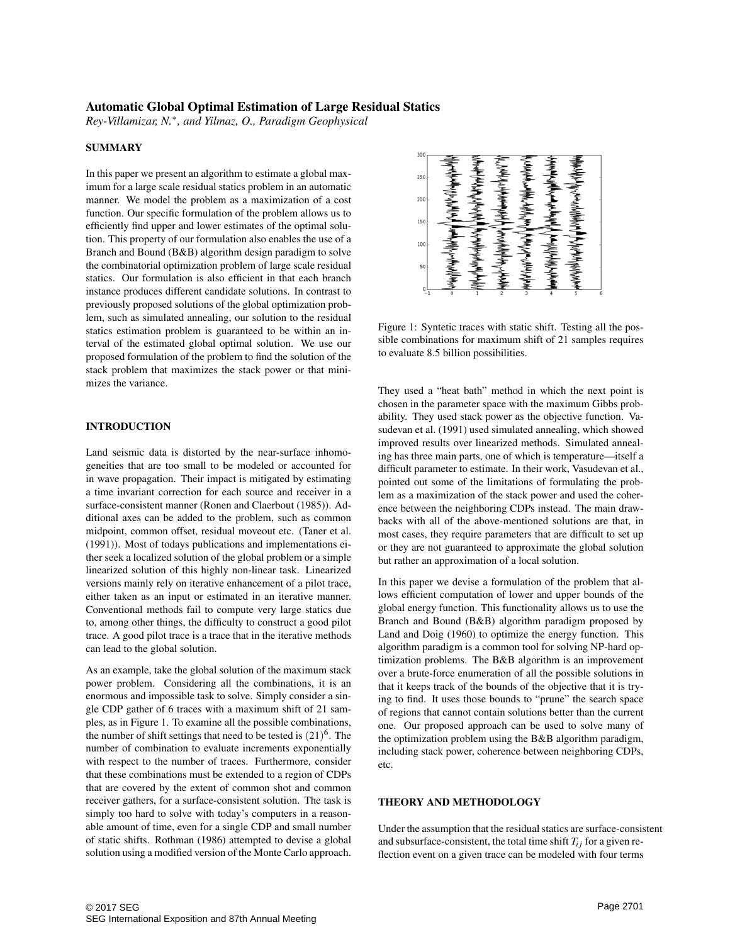*Rey-Villamizar, N.*<sup>∗</sup> *, and Yilmaz, O., Paradigm Geophysical*

#### SUMMARY

In this paper we present an algorithm to estimate a global maximum for a large scale residual statics problem in an automatic manner. We model the problem as a maximization of a cost function. Our specific formulation of the problem allows us to efficiently find upper and lower estimates of the optimal solution. This property of our formulation also enables the use of a Branch and Bound (B&B) algorithm design paradigm to solve the combinatorial optimization problem of large scale residual statics. Our formulation is also efficient in that each branch instance produces different candidate solutions. In contrast to previously proposed solutions of the global optimization problem, such as simulated annealing, our solution to the residual statics estimation problem is guaranteed to be within an interval of the estimated global optimal solution. We use our proposed formulation of the problem to find the solution of the stack problem that maximizes the stack power or that minimizes the variance.

# INTRODUCTION

Land seismic data is distorted by the near-surface inhomogeneities that are too small to be modeled or accounted for in wave propagation. Their impact is mitigated by estimating a time invariant correction for each source and receiver in a surface-consistent manner (Ronen and Claerbout (1985)). Additional axes can be added to the problem, such as common midpoint, common offset, residual moveout etc. (Taner et al. (1991)). Most of todays publications and implementations either seek a localized solution of the global problem or a simple linearized solution of this highly non-linear task. Linearized versions mainly rely on iterative enhancement of a pilot trace, either taken as an input or estimated in an iterative manner. Conventional methods fail to compute very large statics due to, among other things, the difficulty to construct a good pilot trace. A good pilot trace is a trace that in the iterative methods can lead to the global solution.

As an example, take the global solution of the maximum stack power problem. Considering all the combinations, it is an enormous and impossible task to solve. Simply consider a single CDP gather of 6 traces with a maximum shift of 21 samples, as in Figure 1. To examine all the possible combinations, the number of shift settings that need to be tested is  $(21)^6$ . The number of combination to evaluate increments exponentially with respect to the number of traces. Furthermore, consider that these combinations must be extended to a region of CDPs that are covered by the extent of common shot and common receiver gathers, for a surface-consistent solution. The task is simply too hard to solve with today's computers in a reasonable amount of time, even for a single CDP and small number of static shifts. Rothman (1986) attempted to devise a global solution using a modified version of the Monte Carlo approach.



Figure 1: Syntetic traces with static shift. Testing all the possible combinations for maximum shift of 21 samples requires to evaluate 8.5 billion possibilities.

They used a "heat bath" method in which the next point is chosen in the parameter space with the maximum Gibbs probability. They used stack power as the objective function. Vasudevan et al. (1991) used simulated annealing, which showed improved results over linearized methods. Simulated annealing has three main parts, one of which is temperature—itself a difficult parameter to estimate. In their work, Vasudevan et al., pointed out some of the limitations of formulating the problem as a maximization of the stack power and used the coherence between the neighboring CDPs instead. The main drawbacks with all of the above-mentioned solutions are that, in most cases, they require parameters that are difficult to set up or they are not guaranteed to approximate the global solution but rather an approximation of a local solution.

In this paper we devise a formulation of the problem that allows efficient computation of lower and upper bounds of the global energy function. This functionality allows us to use the Branch and Bound (B&B) algorithm paradigm proposed by Land and Doig (1960) to optimize the energy function. This algorithm paradigm is a common tool for solving NP-hard optimization problems. The B&B algorithm is an improvement over a brute-force enumeration of all the possible solutions in that it keeps track of the bounds of the objective that it is trying to find. It uses those bounds to "prune" the search space of regions that cannot contain solutions better than the current one. Our proposed approach can be used to solve many of the optimization problem using the B&B algorithm paradigm, including stack power, coherence between neighboring CDPs, etc.

### THEORY AND METHODOLOGY

Under the assumption that the residual statics are surface-consistent and subsurface-consistent, the total time shift  $T_{ij}$  for a given reflection event on a given trace can be modeled with four terms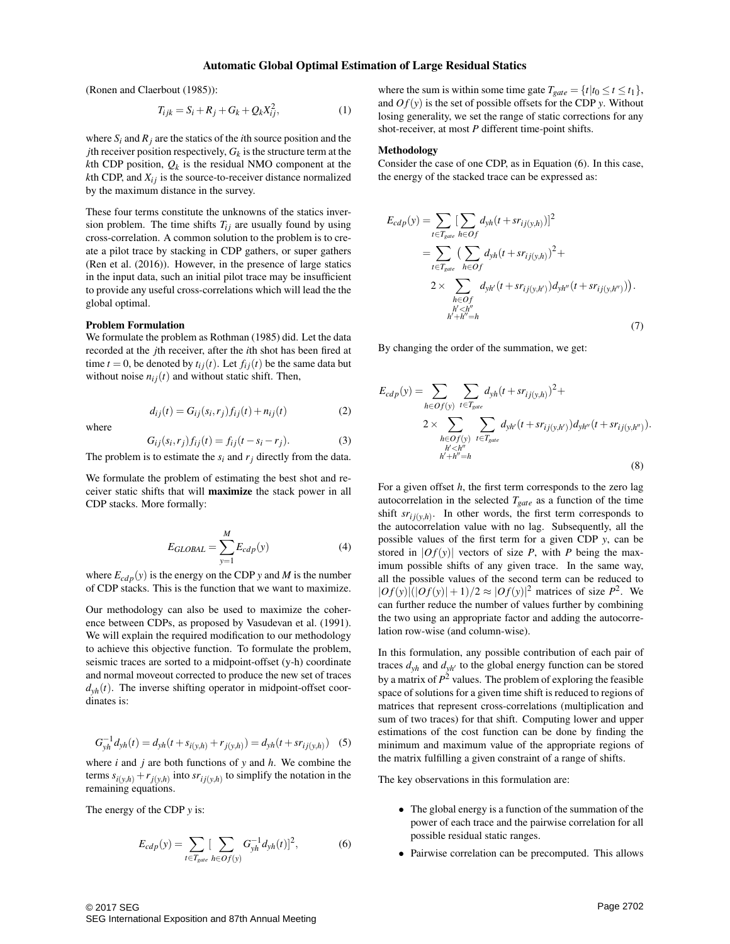(Ronen and Claerbout (1985)):

$$
T_{ijk} = S_i + R_j + G_k + Q_k X_{ij}^2,
$$
 (1)

where  $S_i$  and  $R_j$  are the statics of the *i*th source position and the *j*th receiver position respectively, *G<sup>k</sup>* is the structure term at the *k*th CDP position,  $Q_k$  is the residual NMO component at the *k*th CDP, and  $X_{ij}$  is the source-to-receiver distance normalized by the maximum distance in the survey.

These four terms constitute the unknowns of the statics inversion problem. The time shifts  $T_{ij}$  are usually found by using cross-correlation. A common solution to the problem is to create a pilot trace by stacking in CDP gathers, or super gathers (Ren et al. (2016)). However, in the presence of large statics in the input data, such an initial pilot trace may be insufficient to provide any useful cross-correlations which will lead the the global optimal.

#### Problem Formulation

We formulate the problem as Rothman (1985) did. Let the data recorded at the *j*th receiver, after the *i*th shot has been fired at time  $t = 0$ , be denoted by  $t_{ij}(t)$ . Let  $f_{ij}(t)$  be the same data but without noise  $n_{ij}(t)$  and without static shift. Then,

where

$$
G_{ij}(s_i, r_j) f_{ij}(t) = f_{ij}(t - s_i - r_j). \tag{3}
$$

 $d_{ij}(t) = G_{ij}(s_i, r_j) f_{ij}(t) + n_{ij}(t)$  (2)

The problem is to estimate the  $s_i$  and  $r_j$  directly from the data.

We formulate the problem of estimating the best shot and receiver static shifts that will maximize the stack power in all CDP stacks. More formally:

$$
E_{GLOBAL} = \sum_{y=1}^{M} E_{cdp}(y)
$$
\n(4)

where  $E_{cdp}(y)$  is the energy on the CDP *y* and *M* is the number of CDP stacks. This is the function that we want to maximize.

Our methodology can also be used to maximize the coherence between CDPs, as proposed by Vasudevan et al. (1991). We will explain the required modification to our methodology to achieve this objective function. To formulate the problem, seismic traces are sorted to a midpoint-offset (y-h) coordinate and normal moveout corrected to produce the new set of traces  $d_{vh}(t)$ . The inverse shifting operator in midpoint-offset coordinates is:

$$
G_{yh}^{-1}d_{yh}(t) = d_{yh}(t + s_{i(y,h)} + r_{j(y,h)}) = d_{yh}(t + s r_{ij(y,h)})
$$
 (5)

where *i* and *j* are both functions of *y* and *h*. We combine the terms  $s_{i(y,h)} + r_{j(y,h)}$  into  $sr_{i_j(y,h)}$  to simplify the notation in the remaining equations.

The energy of the CDP *y* is:

$$
E_{cdp}(y) = \sum_{t \in T_{gate}} \left[ \sum_{h \in Of(y)} G_{yh}^{-1} d_{yh}(t) \right]^2, \tag{6}
$$

where the sum is within some time gate  $T_{gate} = \{t | t_0 \le t \le t_1\},\$ and  $O_f(y)$  is the set of possible offsets for the CDP *y*. Without losing generality, we set the range of static corrections for any shot-receiver, at most *P* different time-point shifts.

#### Methodology

Consider the case of one CDP, as in Equation (6). In this case, the energy of the stacked trace can be expressed as:

$$
E_{cdp}(y) = \sum_{t \in T_{gate}} [\sum_{h \in Of} d_{yh}(t + sr_{ij(y,h)})]^2
$$
  
= 
$$
\sum_{t \in T_{gate}} (\sum_{h \in Of} d_{yh}(t + sr_{ij(y,h)})^2 +
$$
  

$$
2 \times \sum_{\substack{h \in Of \\ h' < h''}} d_{yh'}(t + sr_{ij(y,h')}) d_{yh''}(t + sr_{ij(y,h'')})).
$$
  

$$
r_{h' + h'' = h}^{h' + h'' = h}
$$
 (7)

By changing the order of the summation, we get:

$$
E_{cdp}(y) = \sum_{h \in Of(y)} \sum_{t \in T_{gate}} d_{yh}(t + sr_{ij(y,h)})^{2} +
$$
  
2 × 
$$
\sum_{h \in Of(y)} \sum_{t \in T_{gate}} d_{yh'}(t + sr_{ij(y,h')})d_{yh''}(t + sr_{ij(y,h'')}).
$$
  

$$
h' \prec h''
$$
  

$$
h' \prec h''
$$
  
(8)

For a given offset *h*, the first term corresponds to the zero lag autocorrelation in the selected *Tgate* as a function of the time shift  $sr_{ij}(y,h)$ . In other words, the first term corresponds to the autocorrelation value with no lag. Subsequently, all the possible values of the first term for a given CDP *y*, can be stored in  $|Of(y)|$  vectors of size *P*, with *P* being the maximum possible shifts of any given trace. In the same way, all the possible values of the second term can be reduced to  $|O_f(y)|(|O_f(y)|+1)/2 \approx |O_f(y)|^2$  matrices of size  $P^2$ . We can further reduce the number of values further by combining the two using an appropriate factor and adding the autocorrelation row-wise (and column-wise).

In this formulation, any possible contribution of each pair of traces  $d_{vh}$  and  $d_{vh'}$  to the global energy function can be stored by a matrix of *P* <sup>2</sup> values. The problem of exploring the feasible space of solutions for a given time shift is reduced to regions of matrices that represent cross-correlations (multiplication and sum of two traces) for that shift. Computing lower and upper estimations of the cost function can be done by finding the minimum and maximum value of the appropriate regions of the matrix fulfilling a given constraint of a range of shifts.

The key observations in this formulation are:

- The global energy is a function of the summation of the power of each trace and the pairwise correlation for all possible residual static ranges.
- Pairwise correlation can be precomputed. This allows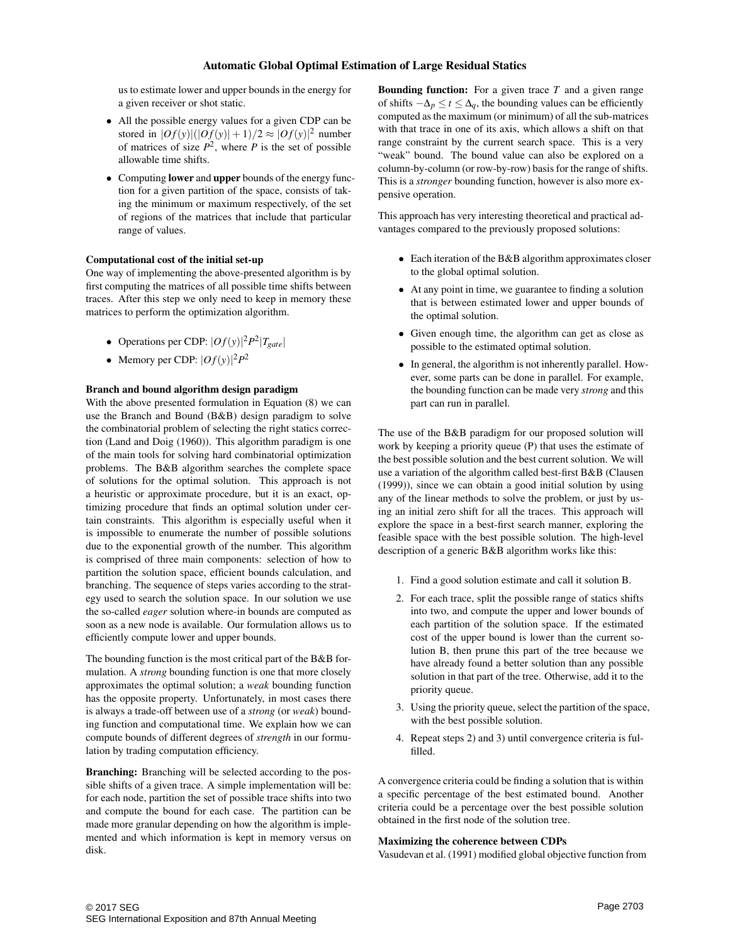us to estimate lower and upper bounds in the energy for a given receiver or shot static.

- All the possible energy values for a given CDP can be stored in  $|Of(y)|(|Of(y)|+1)/2 \approx |Of(y)|^2$  number of matrices of size  $P^2$ , where P is the set of possible allowable time shifts.
- Computing lower and upper bounds of the energy function for a given partition of the space, consists of taking the minimum or maximum respectively, of the set of regions of the matrices that include that particular range of values.

# Computational cost of the initial set-up

One way of implementing the above-presented algorithm is by first computing the matrices of all possible time shifts between traces. After this step we only need to keep in memory these matrices to perform the optimization algorithm.

- Operations per CDP:  $|Of(y)|^2 P^2 |T_{gate}|$
- Memory per CDP:  $|Of(y)|^2 P^2$

# Branch and bound algorithm design paradigm

With the above presented formulation in Equation (8) we can use the Branch and Bound (B&B) design paradigm to solve the combinatorial problem of selecting the right statics correction (Land and Doig (1960)). This algorithm paradigm is one of the main tools for solving hard combinatorial optimization problems. The B&B algorithm searches the complete space of solutions for the optimal solution. This approach is not a heuristic or approximate procedure, but it is an exact, optimizing procedure that finds an optimal solution under certain constraints. This algorithm is especially useful when it is impossible to enumerate the number of possible solutions due to the exponential growth of the number. This algorithm is comprised of three main components: selection of how to partition the solution space, efficient bounds calculation, and branching. The sequence of steps varies according to the strategy used to search the solution space. In our solution we use the so-called *eager* solution where-in bounds are computed as soon as a new node is available. Our formulation allows us to efficiently compute lower and upper bounds.

The bounding function is the most critical part of the B&B formulation. A *strong* bounding function is one that more closely approximates the optimal solution; a *weak* bounding function has the opposite property. Unfortunately, in most cases there is always a trade-off between use of a *strong* (or *weak*) bounding function and computational time. We explain how we can compute bounds of different degrees of *strength* in our formulation by trading computation efficiency.

Branching: Branching will be selected according to the possible shifts of a given trace. A simple implementation will be: for each node, partition the set of possible trace shifts into two and compute the bound for each case. The partition can be made more granular depending on how the algorithm is implemented and which information is kept in memory versus on disk.

Bounding function: For a given trace *T* and a given range of shifts  $-\Delta_p \le t \le \Delta_q$ , the bounding values can be efficiently computed as the maximum (or minimum) of all the sub-matrices with that trace in one of its axis, which allows a shift on that range constraint by the current search space. This is a very "weak" bound. The bound value can also be explored on a column-by-column (or row-by-row) basis for the range of shifts. This is a *stronger* bounding function, however is also more expensive operation.

This approach has very interesting theoretical and practical advantages compared to the previously proposed solutions:

- Each iteration of the B&B algorithm approximates closer to the global optimal solution.
- At any point in time, we guarantee to finding a solution that is between estimated lower and upper bounds of the optimal solution.
- Given enough time, the algorithm can get as close as possible to the estimated optimal solution.
- In general, the algorithm is not inherently parallel. However, some parts can be done in parallel. For example, the bounding function can be made very *strong* and this part can run in parallel.

The use of the B&B paradigm for our proposed solution will work by keeping a priority queue (P) that uses the estimate of the best possible solution and the best current solution. We will use a variation of the algorithm called best-first B&B (Clausen (1999)), since we can obtain a good initial solution by using any of the linear methods to solve the problem, or just by using an initial zero shift for all the traces. This approach will explore the space in a best-first search manner, exploring the feasible space with the best possible solution. The high-level description of a generic B&B algorithm works like this:

- 1. Find a good solution estimate and call it solution B.
- 2. For each trace, split the possible range of statics shifts into two, and compute the upper and lower bounds of each partition of the solution space. If the estimated cost of the upper bound is lower than the current solution B, then prune this part of the tree because we have already found a better solution than any possible solution in that part of the tree. Otherwise, add it to the priority queue.
- 3. Using the priority queue, select the partition of the space, with the best possible solution.
- 4. Repeat steps 2) and 3) until convergence criteria is fulfilled.

A convergence criteria could be finding a solution that is within a specific percentage of the best estimated bound. Another criteria could be a percentage over the best possible solution obtained in the first node of the solution tree.

### Maximizing the coherence between CDPs

Vasudevan et al. (1991) modified global objective function from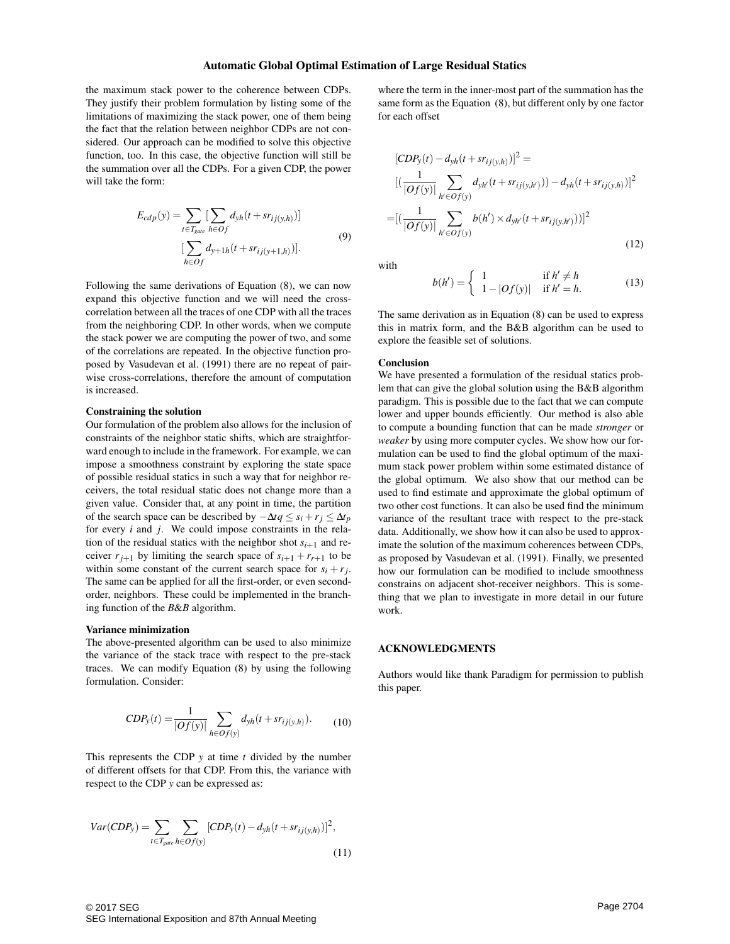the maximum stack power to the coherence between CDPs. They justify their problem formulation by listing some of the limitations of maximizing the stack power, one of them being the fact that the relation between neighbor CDPs are not considered. Our approach can be modified to solve this objective function, too. In this case, the objective function will still be the summation over all the CDPs. For a given CDP, the power will take the form:

$$
E_{cdp}(y) = \sum_{t \in T_{gate}} \left[ \sum_{h \in Of} d_{yh}(t + s r_{ij(y,h)}) \right]
$$
  

$$
\left[ \sum_{h \in Of} d_{y+1h}(t + s r_{ij(y+1,h)}) \right].
$$
  
(9)

Following the same derivations of Equation (8), we can now expand this objective function and we will need the crosscorrelation between all the traces of one CDP with all the traces from the neighboring CDP. In other words, when we compute the stack power we are computing the power of two, and some of the correlations are repeated. In the objective function proposed by Vasudevan et al. (1991) there are no repeat of pairwise cross-correlations, therefore the amount of computation is increased.

#### Constraining the solution

Our formulation of the problem also allows for the inclusion of constraints of the neighbor static shifts, which are straightforward enough to include in the framework. For example, we can impose a smoothness constraint by exploring the state space of possible residual statics in such a way that for neighbor receivers, the total residual static does not change more than a given value. Consider that, at any point in time, the partition of the search space can be described by  $-\Delta t q \leq s_i + r_j \leq \Delta t_p$ for every *i* and *j*. We could impose constraints in the relation of the residual statics with the neighbor shot  $s_{i+1}$  and receiver  $r_{i+1}$  by limiting the search space of  $s_{i+1} + r_{i+1}$  to be within some constant of the current search space for  $s_i + r_j$ . The same can be applied for all the first-order, or even secondorder, neighbors. These could be implemented in the branching function of the *B*&*B* algorithm.

#### Variance minimization

The above-presented algorithm can be used to also minimize the variance of the stack trace with respect to the pre-stack traces. We can modify Equation (8) by using the following formulation. Consider:

$$
CDP_{y}(t) = \frac{1}{|Of(y)|} \sum_{h \in Of(y)} d_{yh}(t + sr_{ij(y,h)}).
$$
 (10)

This represents the CDP *y* at time *t* divided by the number of different offsets for that CDP. From this, the variance with respect to the CDP *y* can be expressed as:

$$
Var(CDP_y) = \sum_{t \in T_{gate}} \sum_{h \in Of(y)} [CDP_y(t) - d_{yh}(t + sr_{ij(y,h)})]^2,
$$
\n(11)

where the term in the inner-most part of the summation has the same form as the Equation (8), but different only by one factor for each offset

$$
[CDP_{y}(t) - d_{yh}(t + sr_{ij(y,h)})]^{2} =
$$
  
\n
$$
[(\frac{1}{|Of(y)|} \sum_{h' \in Of(y)} d_{yh'}(t + sr_{ij(y,h'}))) - d_{yh}(t + sr_{ij(y,h)})]^{2}
$$
  
\n
$$
= [(\frac{1}{|Of(y)|} \sum_{h' \in Of(y)} b(h') \times d_{yh'}(t + sr_{ij(y,h')}))]^{2}
$$
\n(12)

with

$$
b(h') = \begin{cases} 1 & \text{if } h' \neq h \\ 1 - |Of(y)| & \text{if } h' = h. \end{cases}
$$
 (13)

The same derivation as in Equation (8) can be used to express this in matrix form, and the B&B algorithm can be used to explore the feasible set of solutions.

## Conclusion

We have presented a formulation of the residual statics problem that can give the global solution using the B&B algorithm paradigm. This is possible due to the fact that we can compute lower and upper bounds efficiently. Our method is also able to compute a bounding function that can be made *stronger* or *weaker* by using more computer cycles. We show how our formulation can be used to find the global optimum of the maximum stack power problem within some estimated distance of the global optimum. We also show that our method can be used to find estimate and approximate the global optimum of two other cost functions. It can also be used find the minimum variance of the resultant trace with respect to the pre-stack data. Additionally, we show how it can also be used to approximate the solution of the maximum coherences between CDPs, as proposed by Vasudevan et al. (1991). Finally, we presented how our formulation can be modified to include smoothness constrains on adjacent shot-receiver neighbors. This is something that we plan to investigate in more detail in our future work.

## ACKNOWLEDGMENTS

Authors would like thank Paradigm for permission to publish this paper.